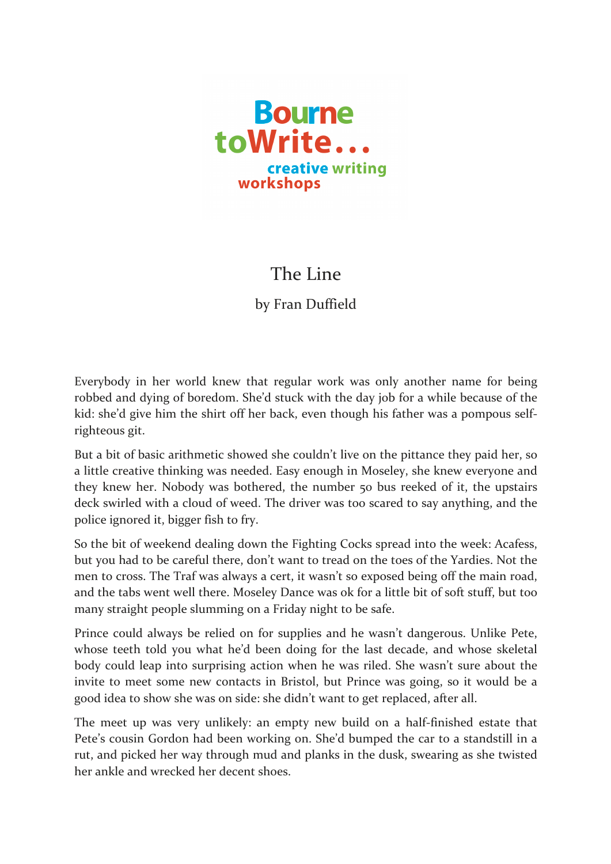

## The Line

by Fran Duffield

Everybody in her world knew that regular work was only another name for being robbed and dying of boredom. She'd stuck with the day job for a while because of the kid: she'd give him the shirt off her back, even though his father was a pompous selfrighteous git.

But a bit of basic arithmetic showed she couldn't live on the pittance they paid her, so a little creative thinking was needed. Easy enough in Moseley, she knew everyone and they knew her. Nobody was bothered, the number 50 bus reeked of it, the upstairs deck swirled with a cloud of weed. The driver was too scared to say anything, and the police ignored it, bigger fish to fry.

So the bit of weekend dealing down the Fighting Cocks spread into the week: Acafess, but you had to be careful there, don't want to tread on the toes of the Yardies. Not the men to cross. The Traf was always a cert, it wasn't so exposed being off the main road, and the tabs went well there. Moseley Dance was ok for a little bit of soft stuff, but too many straight people slumming on a Friday night to be safe.

Prince could always be relied on for supplies and he wasn't dangerous. Unlike Pete, whose teeth told you what he'd been doing for the last decade, and whose skeletal body could leap into surprising action when he was riled. She wasn't sure about the invite to meet some new contacts in Bristol, but Prince was going, so it would be a good idea to show she was on side: she didn't want to get replaced, after all.

The meet up was very unlikely: an empty new build on a half-finished estate that Pete's cousin Gordon had been working on. She'd bumped the car to a standstill in a rut, and picked her way through mud and planks in the dusk, swearing as she twisted her ankle and wrecked her decent shoes.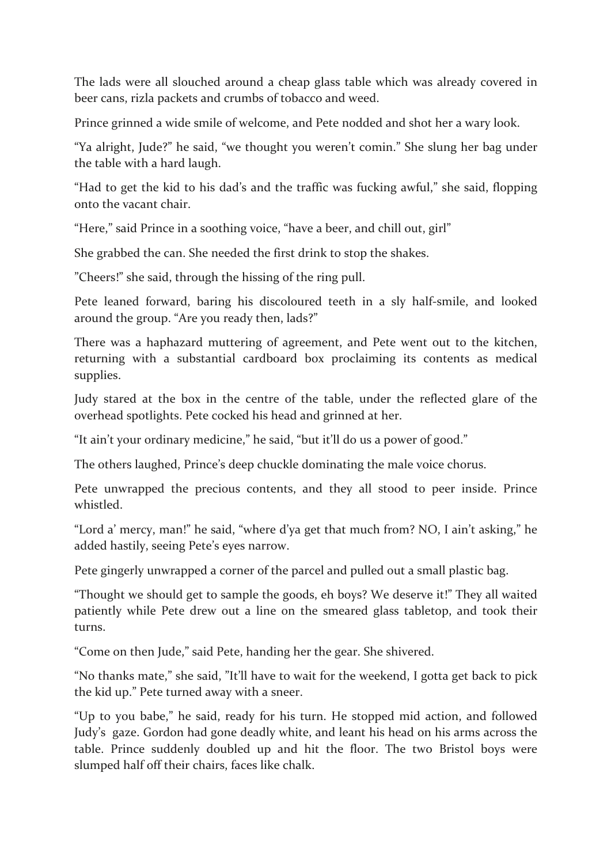The lads were all slouched around a cheap glass table which was already covered in beer cans, rizla packets and crumbs of tobacco and weed.

Prince grinned a wide smile of welcome, and Pete nodded and shot her a wary look.

"Ya alright, Jude?" he said, "we thought you weren't comin." She slung her bag under the table with a hard laugh.

"Had to get the kid to his dad's and the traffic was fucking awful," she said, flopping onto the vacant chair.

"Here," said Prince in a soothing voice, "have a beer, and chill out, girl"

She grabbed the can. She needed the first drink to stop the shakes.

"Cheers!" she said, through the hissing of the ring pull.

Pete leaned forward, baring his discoloured teeth in a sly half-smile, and looked around the group. "Are you ready then, lads?"

There was a haphazard muttering of agreement, and Pete went out to the kitchen, returning with a substantial cardboard box proclaiming its contents as medical supplies.

Judy stared at the box in the centre of the table, under the reflected glare of the overhead spotlights. Pete cocked his head and grinned at her.

"It ain't your ordinary medicine," he said, "but it'll do us a power of good."

The others laughed, Prince's deep chuckle dominating the male voice chorus.

Pete unwrapped the precious contents, and they all stood to peer inside. Prince whistled.

"Lord a' mercy, man!" he said, "where d'ya get that much from? NO, I ain't asking," he added hastily, seeing Pete's eyes narrow.

Pete gingerly unwrapped a corner of the parcel and pulled out a small plastic bag.

"Thought we should get to sample the goods, eh boys? We deserve it!" They all waited patiently while Pete drew out a line on the smeared glass tabletop, and took their turns.

"Come on then Jude," said Pete, handing her the gear. She shivered.

"No thanks mate," she said, "It'll have to wait for the weekend, I gotta get back to pick the kid up." Pete turned away with a sneer.

"Up to you babe," he said, ready for his turn. He stopped mid action, and followed Judy's gaze. Gordon had gone deadly white, and leant his head on his arms across the table. Prince suddenly doubled up and hit the floor. The two Bristol boys were slumped half off their chairs, faces like chalk.